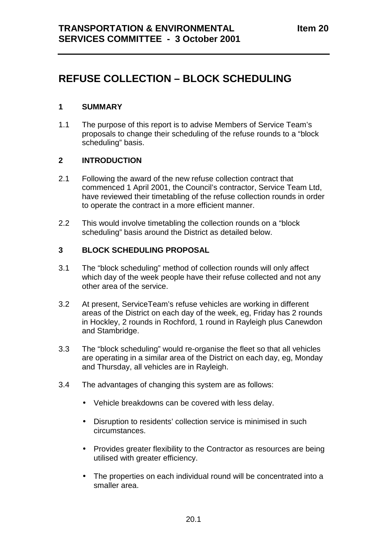# **REFUSE COLLECTION – BLOCK SCHEDULING**

#### **1 SUMMARY**

1.1 The purpose of this report is to advise Members of Service Team's proposals to change their scheduling of the refuse rounds to a "block scheduling" basis.

## **2 INTRODUCTION**

- 2.1 Following the award of the new refuse collection contract that commenced 1 April 2001, the Council's contractor, Service Team Ltd, have reviewed their timetabling of the refuse collection rounds in order to operate the contract in a more efficient manner.
- 2.2 This would involve timetabling the collection rounds on a "block scheduling" basis around the District as detailed below.

#### **3 BLOCK SCHEDULING PROPOSAL**

- 3.1 The "block scheduling" method of collection rounds will only affect which day of the week people have their refuse collected and not any other area of the service.
- 3.2 At present, ServiceTeam's refuse vehicles are working in different areas of the District on each day of the week, eg, Friday has 2 rounds in Hockley, 2 rounds in Rochford, 1 round in Rayleigh plus Canewdon and Stambridge.
- 3.3 The "block scheduling" would re-organise the fleet so that all vehicles are operating in a similar area of the District on each day, eg, Monday and Thursday, all vehicles are in Rayleigh.
- 3.4 The advantages of changing this system are as follows:
	- Vehicle breakdowns can be covered with less delay.
	- Disruption to residents' collection service is minimised in such circumstances.
	- Provides greater flexibility to the Contractor as resources are being utilised with greater efficiency.
	- The properties on each individual round will be concentrated into a smaller area.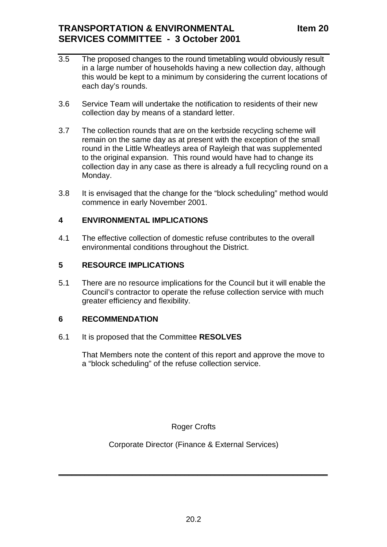- 3.5 The proposed changes to the round timetabling would obviously result in a large number of households having a new collection day, although this would be kept to a minimum by considering the current locations of each day's rounds.
- 3.6 Service Team will undertake the notification to residents of their new collection day by means of a standard letter.
- 3.7 The collection rounds that are on the kerbside recycling scheme will remain on the same day as at present with the exception of the small round in the Little Wheatleys area of Rayleigh that was supplemented to the original expansion. This round would have had to change its collection day in any case as there is already a full recycling round on a Monday.
- 3.8 It is envisaged that the change for the "block scheduling" method would commence in early November 2001.

## **4 ENVIRONMENTAL IMPLICATIONS**

4.1 The effective collection of domestic refuse contributes to the overall environmental conditions throughout the District.

## **5 RESOURCE IMPLICATIONS**

5.1 There are no resource implications for the Council but it will enable the Council's contractor to operate the refuse collection service with much greater efficiency and flexibility.

# **6 RECOMMENDATION**

#### 6.1 It is proposed that the Committee **RESOLVES**

That Members note the content of this report and approve the move to a "block scheduling" of the refuse collection service.

Roger Crofts

Corporate Director (Finance & External Services)

 $\frac{1}{2}$  ,  $\frac{1}{2}$  ,  $\frac{1}{2}$  ,  $\frac{1}{2}$  ,  $\frac{1}{2}$  ,  $\frac{1}{2}$  ,  $\frac{1}{2}$  ,  $\frac{1}{2}$  ,  $\frac{1}{2}$  ,  $\frac{1}{2}$  ,  $\frac{1}{2}$  ,  $\frac{1}{2}$  ,  $\frac{1}{2}$  ,  $\frac{1}{2}$  ,  $\frac{1}{2}$  ,  $\frac{1}{2}$  ,  $\frac{1}{2}$  ,  $\frac{1}{2}$  ,  $\frac{1$